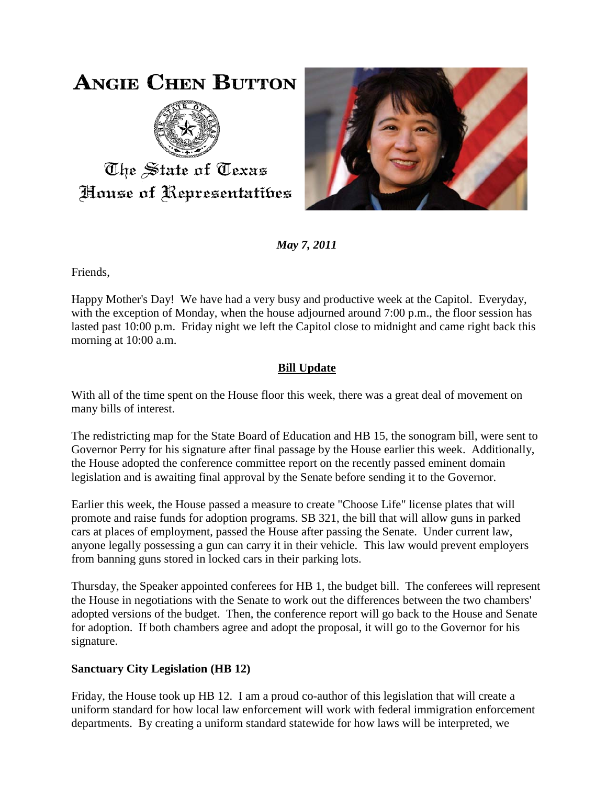# **ANGIE CHEN BUTTON**



The State of Texas House of Representatibes



*May 7, 2011*

Friends,

Happy Mother's Day! We have had a very busy and productive week at the Capitol. Everyday, with the exception of Monday, when the house adjourned around 7:00 p.m., the floor session has lasted past 10:00 p.m. Friday night we left the Capitol close to midnight and came right back this morning at 10:00 a.m.

## **Bill Update**

With all of the time spent on the House floor this week, there was a great deal of movement on many bills of interest.

The redistricting map for the State Board of Education and HB 15, the sonogram bill, were sent to Governor Perry for his signature after final passage by the House earlier this week. Additionally, the House adopted the conference committee report on the recently passed eminent domain legislation and is awaiting final approval by the Senate before sending it to the Governor.

Earlier this week, the House passed a measure to create "Choose Life" license plates that will promote and raise funds for adoption programs. SB 321, the bill that will allow guns in parked cars at places of employment, passed the House after passing the Senate. Under current law, anyone legally possessing a gun can carry it in their vehicle. This law would prevent employers from banning guns stored in locked cars in their parking lots.

Thursday, the Speaker appointed conferees for HB 1, the budget bill. The conferees will represent the House in negotiations with the Senate to work out the differences between the two chambers' adopted versions of the budget. Then, the conference report will go back to the House and Senate for adoption. If both chambers agree and adopt the proposal, it will go to the Governor for his signature.

### **Sanctuary City Legislation (HB 12)**

Friday, the House took up HB 12. I am a proud co-author of this legislation that will create a uniform standard for how local law enforcement will work with federal immigration enforcement departments. By creating a uniform standard statewide for how laws will be interpreted, we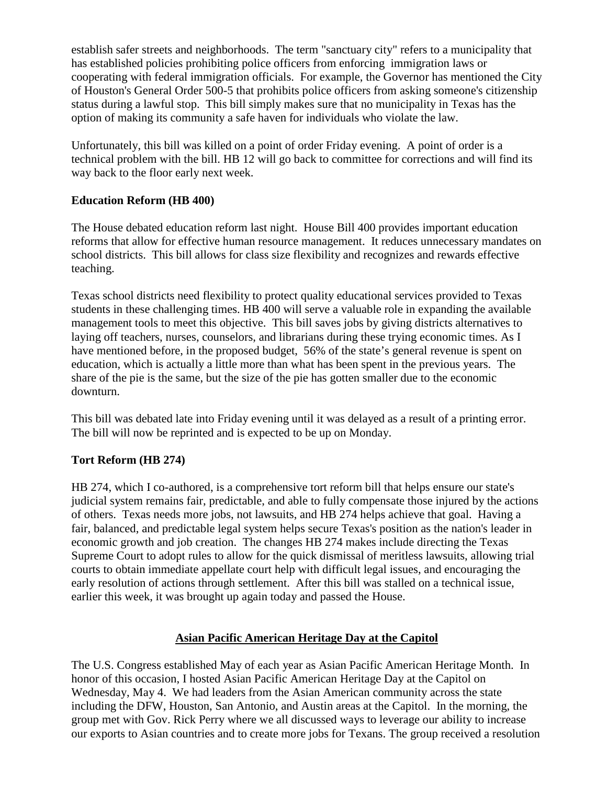establish safer streets and neighborhoods. The term "sanctuary city" refers to a municipality that has established policies prohibiting police officers from enforcing immigration laws or cooperating with federal immigration officials. For example, the Governor has mentioned the City of Houston's General Order 500-5 that prohibits police officers from asking someone's citizenship status during a lawful stop. This bill simply makes sure that no municipality in Texas has the option of making its community a safe haven for individuals who violate the law.

Unfortunately, this bill was killed on a point of order Friday evening. A point of order is a technical problem with the bill. HB 12 will go back to committee for corrections and will find its way back to the floor early next week.

#### **Education Reform (HB 400)**

The House debated education reform last night. House Bill 400 provides important education reforms that allow for effective human resource management. It reduces unnecessary mandates on school districts. This bill allows for class size flexibility and recognizes and rewards effective teaching.

Texas school districts need flexibility to protect quality educational services provided to Texas students in these challenging times. HB 400 will serve a valuable role in expanding the available management tools to meet this objective. This bill saves jobs by giving districts alternatives to laying off teachers, nurses, counselors, and librarians during these trying economic times. As I have mentioned before, in the proposed budget, 56% of the state's general revenue is spent on education, which is actually a little more than what has been spent in the previous years. The share of the pie is the same, but the size of the pie has gotten smaller due to the economic downturn.

This bill was debated late into Friday evening until it was delayed as a result of a printing error. The bill will now be reprinted and is expected to be up on Monday.

#### **Tort Reform (HB 274)**

HB 274, which I co-authored, is a comprehensive tort reform bill that helps ensure our state's judicial system remains fair, predictable, and able to fully compensate those injured by the actions of others. Texas needs more jobs, not lawsuits, and HB 274 helps achieve that goal. Having a fair, balanced, and predictable legal system helps secure Texas's position as the nation's leader in economic growth and job creation. The changes HB 274 makes include directing the Texas Supreme Court to adopt rules to allow for the quick dismissal of meritless lawsuits, allowing trial courts to obtain immediate appellate court help with difficult legal issues, and encouraging the early resolution of actions through settlement. After this bill was stalled on a technical issue, earlier this week, it was brought up again today and passed the House.

#### **Asian Pacific American Heritage Day at the Capitol**

The U.S. Congress established May of each year as Asian Pacific American Heritage Month. In honor of this occasion, I hosted Asian Pacific American Heritage Day at the Capitol on Wednesday, May 4. We had leaders from the Asian American community across the state including the DFW, Houston, San Antonio, and Austin areas at the Capitol. In the morning, the group met with Gov. Rick Perry where we all discussed ways to leverage our ability to increase our exports to Asian countries and to create more jobs for Texans. The group received a resolution